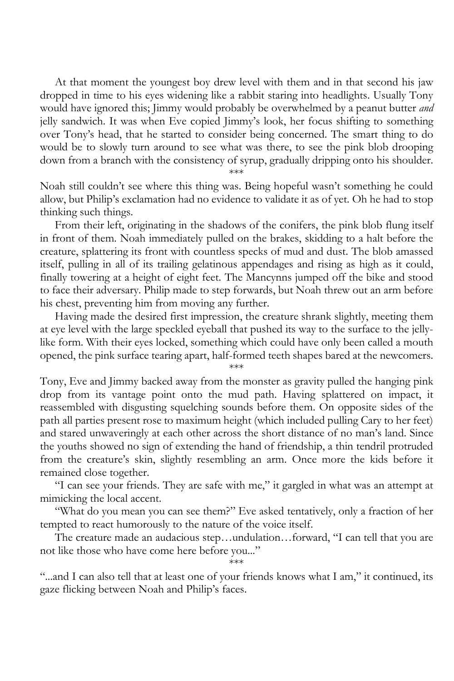At that moment the youngest boy drew level with them and in that second his jaw dropped in time to his eyes widening like a rabbit staring into headlights. Usually Tony would have ignored this; Jimmy would probably be overwhelmed by a peanut butter *and*  jelly sandwich. It was when Eve copied Jimmy's look, her focus shifting to something over Tony's head, that he started to consider being concerned. The smart thing to do would be to slowly turn around to see what was there, to see the pink blob drooping down from a branch with the consistency of syrup, gradually dripping onto his shoulder.

\*\*\*

Noah still couldn't see where this thing was. Being hopeful wasn't something he could allow, but Philip's exclamation had no evidence to validate it as of yet. Oh he had to stop thinking such things.

From their left, originating in the shadows of the conifers, the pink blob flung itself in front of them. Noah immediately pulled on the brakes, skidding to a halt before the creature, splattering its front with countless specks of mud and dust. The blob amassed itself, pulling in all of its trailing gelatinous appendages and rising as high as it could, finally towering at a height of eight feet. The Mancynns jumped off the bike and stood to face their adversary. Philip made to step forwards, but Noah threw out an arm before his chest, preventing him from moving any further.

Having made the desired first impression, the creature shrank slightly, meeting them at eye level with the large speckled eyeball that pushed its way to the surface to the jellylike form. With their eyes locked, something which could have only been called a mouth opened, the pink surface tearing apart, half-formed teeth shapes bared at the newcomers. \*\*\*

Tony, Eve and Jimmy backed away from the monster as gravity pulled the hanging pink drop from its vantage point onto the mud path. Having splattered on impact, it reassembled with disgusting squelching sounds before them. On opposite sides of the path all parties present rose to maximum height (which included pulling Cary to her feet) and stared unwaveringly at each other across the short distance of no man's land. Since the youths showed no sign of extending the hand of friendship, a thin tendril protruded from the creature's skin, slightly resembling an arm. Once more the kids before it remained close together.

"I can see your friends. They are safe with me," it gargled in what was an attempt at mimicking the local accent.

"What do you mean you can see them?" Eve asked tentatively, only a fraction of her tempted to react humorously to the nature of the voice itself.

The creature made an audacious step…undulation…forward, "I can tell that you are not like those who have come here before you..." \*\*\*

"...and I can also tell that at least one of your friends knows what I am," it continued, its gaze flicking between Noah and Philip's faces.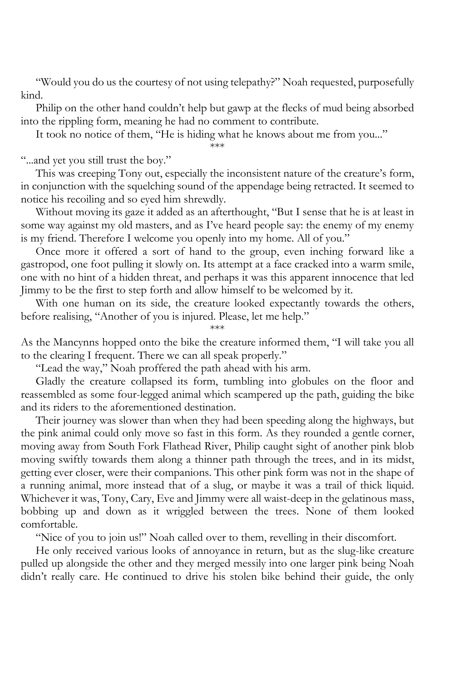"Would you do us the courtesy of not using telepathy?" Noah requested, purposefully kind.

Philip on the other hand couldn't help but gawp at the flecks of mud being absorbed into the rippling form, meaning he had no comment to contribute.

It took no notice of them, "He is hiding what he knows about me from you..."

\*\*\*

"...and yet you still trust the boy."

This was creeping Tony out, especially the inconsistent nature of the creature's form, in conjunction with the squelching sound of the appendage being retracted. It seemed to notice his recoiling and so eyed him shrewdly.

Without moving its gaze it added as an afterthought, "But I sense that he is at least in some way against my old masters, and as I've heard people say: the enemy of my enemy is my friend. Therefore I welcome you openly into my home. All of you."

Once more it offered a sort of hand to the group, even inching forward like a gastropod, one foot pulling it slowly on. Its attempt at a face cracked into a warm smile, one with no hint of a hidden threat, and perhaps it was this apparent innocence that led Jimmy to be the first to step forth and allow himself to be welcomed by it.

With one human on its side, the creature looked expectantly towards the others, before realising, "Another of you is injured. Please, let me help."

\*\*\*

As the Mancynns hopped onto the bike the creature informed them, "I will take you all to the clearing I frequent. There we can all speak properly."

"Lead the way," Noah proffered the path ahead with his arm.

Gladly the creature collapsed its form, tumbling into globules on the floor and reassembled as some four-legged animal which scampered up the path, guiding the bike and its riders to the aforementioned destination.

Their journey was slower than when they had been speeding along the highways, but the pink animal could only move so fast in this form. As they rounded a gentle corner, moving away from South Fork Flathead River, Philip caught sight of another pink blob moving swiftly towards them along a thinner path through the trees, and in its midst, getting ever closer, were their companions. This other pink form was not in the shape of a running animal, more instead that of a slug, or maybe it was a trail of thick liquid. Whichever it was, Tony, Cary, Eve and Jimmy were all waist-deep in the gelatinous mass, bobbing up and down as it wriggled between the trees. None of them looked comfortable.

"Nice of you to join us!" Noah called over to them, revelling in their discomfort.

He only received various looks of annoyance in return, but as the slug-like creature pulled up alongside the other and they merged messily into one larger pink being Noah didn't really care. He continued to drive his stolen bike behind their guide, the only